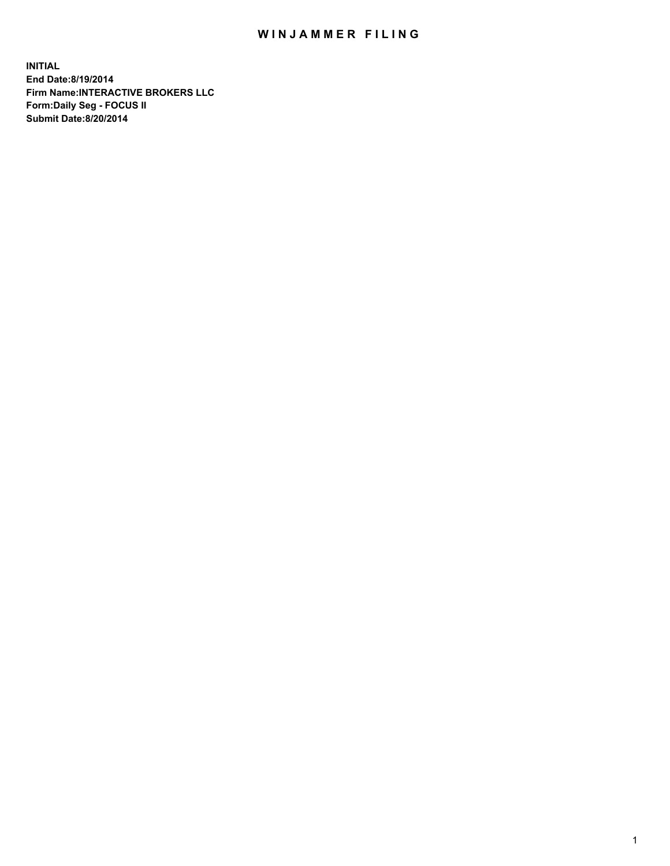## WIN JAMMER FILING

**INITIAL End Date:8/19/2014 Firm Name:INTERACTIVE BROKERS LLC Form:Daily Seg - FOCUS II Submit Date:8/20/2014**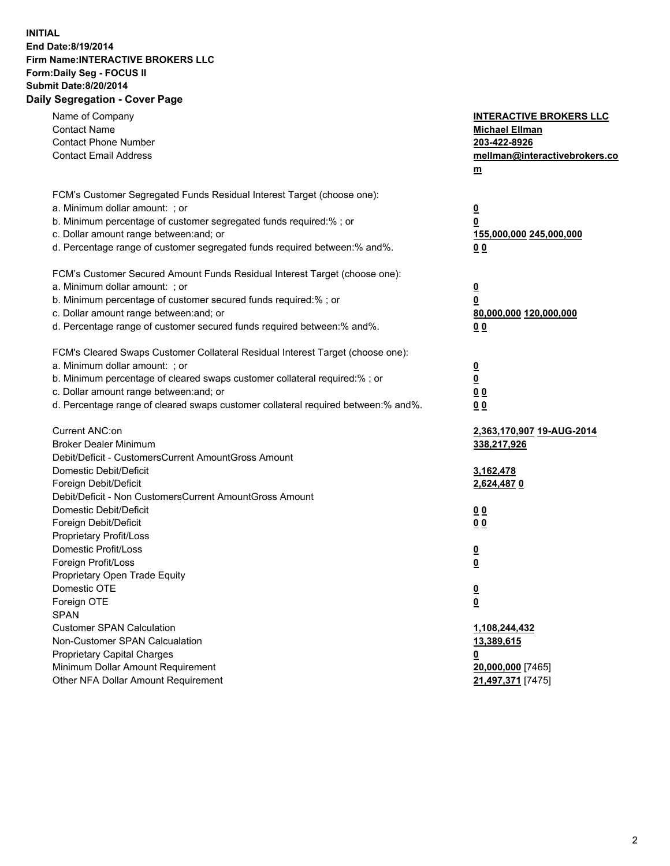## **INITIAL End Date:8/19/2014 Firm Name:INTERACTIVE BROKERS LLC Form:Daily Seg - FOCUS II Submit Date:8/20/2014 Daily Segregation - Cover Page**

| Name of Company<br><b>Contact Name</b><br><b>Contact Phone Number</b><br><b>Contact Email Address</b>                                                                                                                                                                                                                          | <b>INTERACTIVE BROKERS LLC</b><br><b>Michael Ellman</b><br>203-422-8926<br>mellman@interactivebrokers.co<br>$m$ |
|--------------------------------------------------------------------------------------------------------------------------------------------------------------------------------------------------------------------------------------------------------------------------------------------------------------------------------|-----------------------------------------------------------------------------------------------------------------|
| FCM's Customer Segregated Funds Residual Interest Target (choose one):<br>a. Minimum dollar amount: ; or<br>b. Minimum percentage of customer segregated funds required:% ; or<br>c. Dollar amount range between: and; or<br>d. Percentage range of customer segregated funds required between:% and%.                         | <u>0</u><br><u>0</u><br>155,000,000 245,000,000<br>0 <sub>0</sub>                                               |
| FCM's Customer Secured Amount Funds Residual Interest Target (choose one):<br>a. Minimum dollar amount: ; or<br>b. Minimum percentage of customer secured funds required:% ; or<br>c. Dollar amount range between: and; or<br>d. Percentage range of customer secured funds required between:% and%.                           | <u>0</u><br>0<br>80,000,000 120,000,000<br>0 <sub>0</sub>                                                       |
| FCM's Cleared Swaps Customer Collateral Residual Interest Target (choose one):<br>a. Minimum dollar amount: ; or<br>b. Minimum percentage of cleared swaps customer collateral required:% ; or<br>c. Dollar amount range between: and; or<br>d. Percentage range of cleared swaps customer collateral required between:% and%. | $\overline{\mathbf{0}}$<br><u>0</u><br>0 <sub>0</sub><br>0 <sub>0</sub>                                         |
| Current ANC:on<br><b>Broker Dealer Minimum</b><br>Debit/Deficit - CustomersCurrent AmountGross Amount<br>Domestic Debit/Deficit<br>Foreign Debit/Deficit                                                                                                                                                                       | 2,363,170,907 19-AUG-2014<br>338,217,926<br>3,162,478<br>2,624,4870                                             |
| Debit/Deficit - Non CustomersCurrent AmountGross Amount<br>Domestic Debit/Deficit<br>Foreign Debit/Deficit<br>Proprietary Profit/Loss<br>Domestic Profit/Loss<br>Foreign Profit/Loss                                                                                                                                           | 0 <sub>0</sub><br>0 <sub>0</sub><br><u>0</u><br><u>0</u>                                                        |
| Proprietary Open Trade Equity<br>Domestic OTE<br>Foreign OTE<br><b>SPAN</b><br><b>Customer SPAN Calculation</b>                                                                                                                                                                                                                | <u>0</u><br><u>0</u><br>1,108,244,432                                                                           |
| Non-Customer SPAN Calcualation<br><b>Proprietary Capital Charges</b><br>Minimum Dollar Amount Requirement<br>Other NFA Dollar Amount Requirement                                                                                                                                                                               | <u>13,389,615</u><br><u>0</u><br>20,000,000 [7465]<br>21,497,371 [7475]                                         |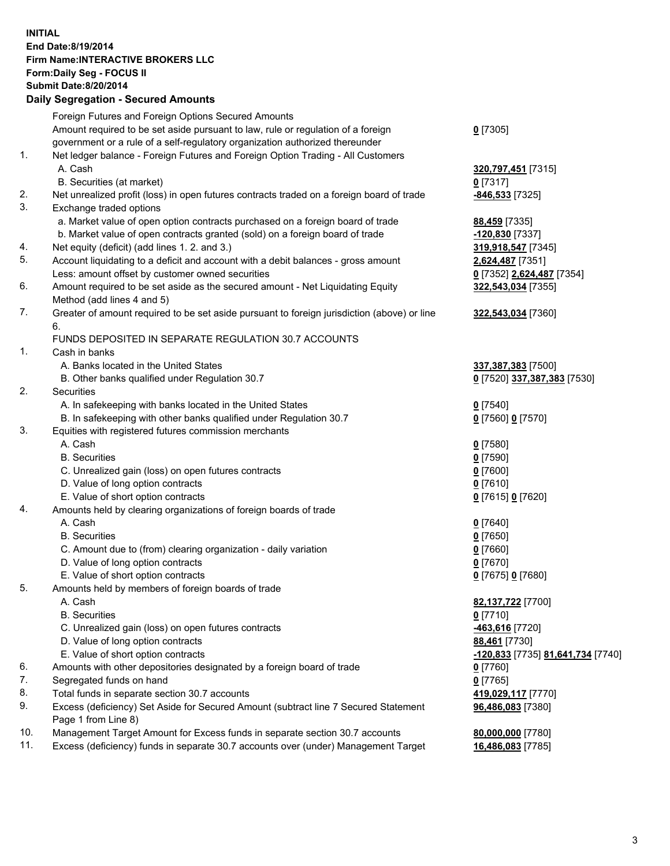## **INITIAL End Date:8/19/2014 Firm Name:INTERACTIVE BROKERS LLC Form:Daily Seg - FOCUS II Submit Date:8/20/2014 Daily Segregation - Secured Amounts**

|     | Daily Ocglegation - Occarea Anioants                                                        |                                   |
|-----|---------------------------------------------------------------------------------------------|-----------------------------------|
|     | Foreign Futures and Foreign Options Secured Amounts                                         |                                   |
|     | Amount required to be set aside pursuant to law, rule or regulation of a foreign            | $0$ [7305]                        |
|     | government or a rule of a self-regulatory organization authorized thereunder                |                                   |
| 1.  | Net ledger balance - Foreign Futures and Foreign Option Trading - All Customers             |                                   |
|     | A. Cash                                                                                     | 320,797,451 [7315]                |
|     | B. Securities (at market)                                                                   | $0$ [7317]                        |
| 2.  | Net unrealized profit (loss) in open futures contracts traded on a foreign board of trade   | -846,533 [7325]                   |
| 3.  | Exchange traded options                                                                     |                                   |
|     | a. Market value of open option contracts purchased on a foreign board of trade              | 88,459 [7335]                     |
|     | b. Market value of open contracts granted (sold) on a foreign board of trade                | -120,830 [7337]                   |
| 4.  | Net equity (deficit) (add lines 1.2. and 3.)                                                | 319,918,547 [7345]                |
| 5.  | Account liquidating to a deficit and account with a debit balances - gross amount           | 2,624,487 [7351]                  |
|     | Less: amount offset by customer owned securities                                            | 0 [7352] 2,624,487 [7354]         |
| 6.  | Amount required to be set aside as the secured amount - Net Liquidating Equity              | 322,543,034 [7355]                |
|     | Method (add lines 4 and 5)                                                                  |                                   |
| 7.  | Greater of amount required to be set aside pursuant to foreign jurisdiction (above) or line | 322,543,034 [7360]                |
|     | 6.                                                                                          |                                   |
|     | FUNDS DEPOSITED IN SEPARATE REGULATION 30.7 ACCOUNTS                                        |                                   |
| 1.  | Cash in banks                                                                               |                                   |
|     | A. Banks located in the United States                                                       | 337, 387, 383 [7500]              |
|     | B. Other banks qualified under Regulation 30.7                                              | 0 [7520] 337,387,383 [7530]       |
| 2.  | Securities                                                                                  |                                   |
|     | A. In safekeeping with banks located in the United States                                   | $0$ [7540]                        |
|     | B. In safekeeping with other banks qualified under Regulation 30.7                          | 0 [7560] 0 [7570]                 |
| 3.  | Equities with registered futures commission merchants                                       |                                   |
|     | A. Cash<br><b>B.</b> Securities                                                             | $0$ [7580]                        |
|     |                                                                                             | $0$ [7590]                        |
|     | C. Unrealized gain (loss) on open futures contracts<br>D. Value of long option contracts    | $0$ [7600]<br>$0$ [7610]          |
|     | E. Value of short option contracts                                                          | 0 [7615] 0 [7620]                 |
| 4.  | Amounts held by clearing organizations of foreign boards of trade                           |                                   |
|     | A. Cash                                                                                     | $0$ [7640]                        |
|     | <b>B.</b> Securities                                                                        | $0$ [7650]                        |
|     | C. Amount due to (from) clearing organization - daily variation                             | $0$ [7660]                        |
|     | D. Value of long option contracts                                                           | $0$ [7670]                        |
|     | E. Value of short option contracts                                                          | 0 [7675] 0 [7680]                 |
| 5.  | Amounts held by members of foreign boards of trade                                          |                                   |
|     | A. Cash                                                                                     | 82,137,722 [7700]                 |
|     | <b>B.</b> Securities                                                                        | $0$ [7710]                        |
|     | C. Unrealized gain (loss) on open futures contracts                                         | -463,616 [7720]                   |
|     | D. Value of long option contracts                                                           | 88,461 [7730]                     |
|     | E. Value of short option contracts                                                          | -120,833 [7735] 81,641,734 [7740] |
| 6.  | Amounts with other depositories designated by a foreign board of trade                      | 0 [7760]                          |
| 7.  | Segregated funds on hand                                                                    | $0$ [7765]                        |
| 8.  | Total funds in separate section 30.7 accounts                                               | 419,029,117 [7770]                |
| 9.  | Excess (deficiency) Set Aside for Secured Amount (subtract line 7 Secured Statement         | 96,486,083 [7380]                 |
|     | Page 1 from Line 8)                                                                         |                                   |
| 10. | Management Target Amount for Excess funds in separate section 30.7 accounts                 | 80,000,000 [7780]                 |
| 11. | Excess (deficiency) funds in separate 30.7 accounts over (under) Management Target          | 16,486,083 [7785]                 |
|     |                                                                                             |                                   |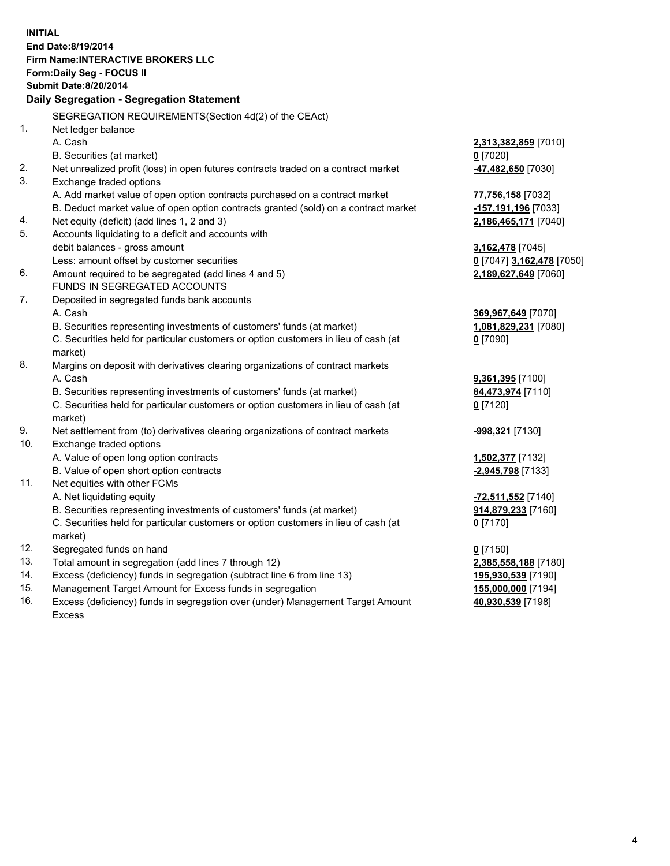**INITIAL End Date:8/19/2014 Firm Name:INTERACTIVE BROKERS LLC Form:Daily Seg - FOCUS II Submit Date:8/20/2014 Daily Segregation - Segregation Statement** SEGREGATION REQUIREMENTS(Section 4d(2) of the CEAct) 1. Net ledger balance A. Cash **2,313,382,859** [7010] B. Securities (at market) **0** [7020] 2. Net unrealized profit (loss) in open futures contracts traded on a contract market **-47,482,650** [7030] 3. Exchange traded options A. Add market value of open option contracts purchased on a contract market **77,756,158** [7032] B. Deduct market value of open option contracts granted (sold) on a contract market **-157,191,196** [7033] 4. Net equity (deficit) (add lines 1, 2 and 3) **2,186,465,171** [7040] 5. Accounts liquidating to a deficit and accounts with debit balances - gross amount **3,162,478** [7045] Less: amount offset by customer securities **0** [7047] **3,162,478** [7050] 6. Amount required to be segregated (add lines 4 and 5) **2,189,627,649** [7060] FUNDS IN SEGREGATED ACCOUNTS 7. Deposited in segregated funds bank accounts A. Cash **369,967,649** [7070] B. Securities representing investments of customers' funds (at market) **1,081,829,231** [7080] C. Securities held for particular customers or option customers in lieu of cash (at market) **0** [7090] 8. Margins on deposit with derivatives clearing organizations of contract markets A. Cash **9,361,395** [7100] B. Securities representing investments of customers' funds (at market) **84,473,974** [7110] C. Securities held for particular customers or option customers in lieu of cash (at market) **0** [7120] 9. Net settlement from (to) derivatives clearing organizations of contract markets **-998,321** [7130] 10. Exchange traded options A. Value of open long option contracts **1,502,377** [7132] B. Value of open short option contracts **-2,945,798** [7133] 11. Net equities with other FCMs A. Net liquidating equity **-72,511,552** [7140] B. Securities representing investments of customers' funds (at market) **914,879,233** [7160] C. Securities held for particular customers or option customers in lieu of cash (at market) **0** [7170] 12. Segregated funds on hand **0** [7150] 13. Total amount in segregation (add lines 7 through 12) **2,385,558,188** [7180] 14. Excess (deficiency) funds in segregation (subtract line 6 from line 13) **195,930,539** [7190] 15. Management Target Amount for Excess funds in segregation **155,000,000** [7194]

16. Excess (deficiency) funds in segregation over (under) Management Target Amount Excess

**40,930,539** [7198]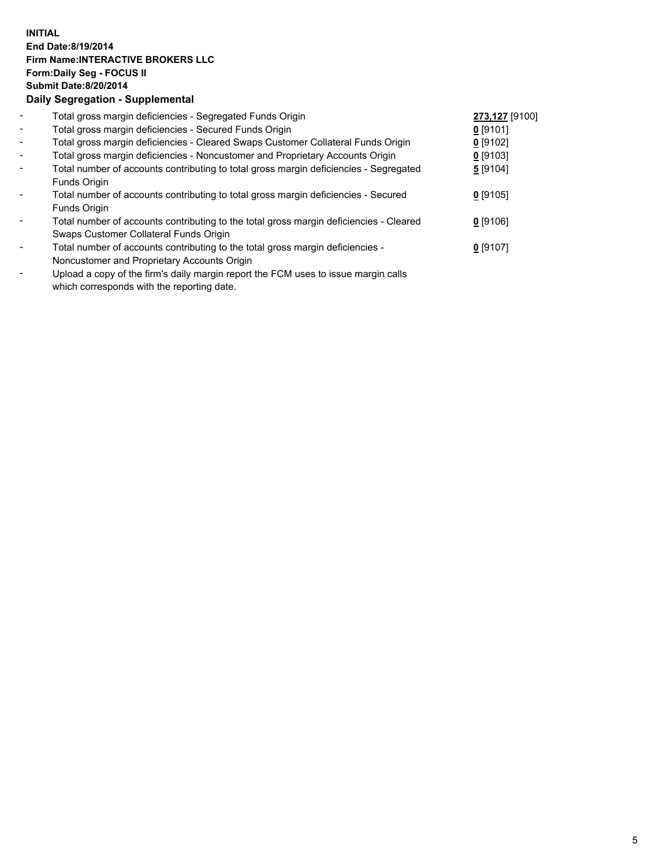## **INITIAL End Date:8/19/2014 Firm Name:INTERACTIVE BROKERS LLC Form:Daily Seg - FOCUS II Submit Date:8/20/2014 Daily Segregation - Supplemental**

| $\blacksquare$           | Total gross margin deficiencies - Segregated Funds Origin                                      | 273,127 [9100] |  |
|--------------------------|------------------------------------------------------------------------------------------------|----------------|--|
| $\overline{\phantom{a}}$ | Total gross margin deficiencies - Secured Funds Origin                                         | $0$ [9101]     |  |
| $\blacksquare$           | Total gross margin deficiencies - Cleared Swaps Customer Collateral Funds Origin               | $0$ [9102]     |  |
| $\blacksquare$           | Total gross margin deficiencies - Noncustomer and Proprietary Accounts Origin                  | $0$ [9103]     |  |
| $\blacksquare$           | Total number of accounts contributing to total gross margin deficiencies - Segregated          | 5[9104]        |  |
|                          | Funds Origin                                                                                   |                |  |
| $\blacksquare$           | Total number of accounts contributing to total gross margin deficiencies - Secured             | $0$ [9105]     |  |
|                          | Funds Origin                                                                                   |                |  |
| $\blacksquare$           | Total number of accounts contributing to the total gross margin deficiencies - Cleared         | $0$ [9106]     |  |
|                          | Swaps Customer Collateral Funds Origin                                                         |                |  |
| $\overline{\phantom{a}}$ | Total number of accounts contributing to the total gross margin deficiencies -                 | $0$ [9107]     |  |
|                          | Noncustomer and Proprietary Accounts Origin                                                    |                |  |
|                          | Unlead a copy of the firmle delly margin report the $\mathsf{ICM}$ uses to issue margin selle. |                |  |

Upload a copy of the firm's daily margin report the FCM uses to issue margin calls which corresponds with the reporting date.